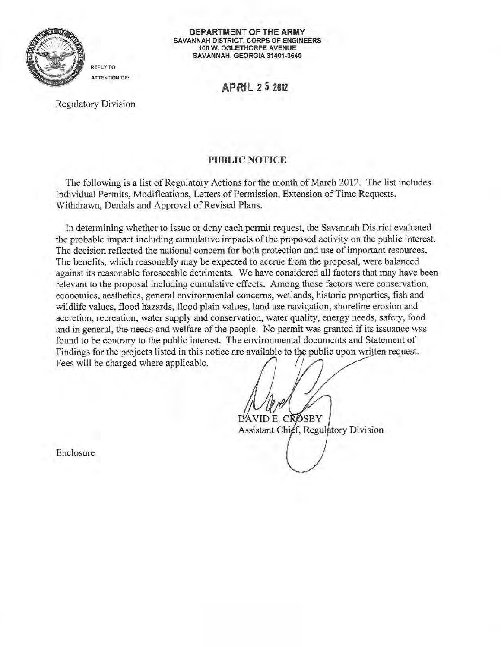

DEPARTMENT OF THE ARMY SAVANNAH DISTRICT, CORPS OF ENGINEERS 100 W. OGLETHORPE AVENUE SAVANNAH, GEORGIA 31401-3640

APRIL Z 5 201Z

Regulatory Division

REPLY TO ATTENTION OF:

## PUBLIC NOTICE

The following is a list of Regulatory Actions for the month of March 2012. The list includes Individual Permits, Modifications, Letters of Permission, Extension of Time Requests, Withdrawn, Denials and Approval of Revised Plans.

In determining whether to issue or deny each permit request, the Savannah District evaluated the probable impact including cumulative impacts of the proposed activity on the public interest. The decision reflected the national concern for both protection and use of important resources. The benefits, which reasonably may be expected to accrue from the proposal, were balanced against its reasonable foreseeable detriments. We have considered all factors that may have been relevant to the proposal including cumulative effects. Among those factors were conservation, economics, aesthetics, general environmental concerns, wetlands, historic properties, fish and wildlife values, flood hazards, flood plain values, land use navigation, shoreline erosion and accretion, recreation, water supply and conservation, water quality, energy needs, safety, food and in general, the needs and welfare of the people. No permit was granted if its issuance was found to be contrary to the public interest. The environmental documents and Statement of Findings for the projects listed in this notice are available to the public upon written request. Fees will be charged where applicable.

DAVID E. CROSBY

Assistant Chief, Regulatory Division

Enclosure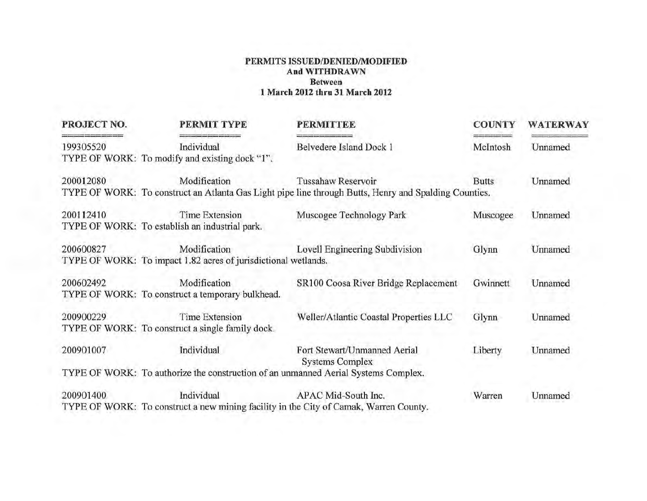## **PERMITS ISSUED/DENIED/MODIFIED And WITHDRAWN Between 1 March 2012 thru 31 March 2012**

| PROJECT NO. | PERMIT TYPE                                                                                         | <b>PERMITTEE</b>                                                                                                            | <b>COUNTY</b> | <b>WATERWAY</b> |
|-------------|-----------------------------------------------------------------------------------------------------|-----------------------------------------------------------------------------------------------------------------------------|---------------|-----------------|
| 199305520   | Individual<br>TYPE OF WORK: To modify and existing dock "1".                                        | Belvedere Island Dock 1                                                                                                     | McIntosh      | Unnamed         |
| 200012080   | Modification                                                                                        | Tussahaw Reservoir<br>TYPE OF WORK: To construct an Atlanta Gas Light pipe line through Butts, Henry and Spalding Counties. | <b>Butts</b>  | Unnamed         |
| 200112410   | <b>Time Extension</b><br>TYPE OF WORK: To establish an industrial park.                             | Muscogee Technology Park                                                                                                    | Muscogee      | Unnamed         |
| 200600827   | Modification<br>TYPE OF WORK: To impact 1.82 acres of jurisdictional wetlands.                      | Lovell Engineering Subdivision                                                                                              | Glynn         | Unnamed         |
| 200602492   | Modification<br>TYPE OF WORK: To construct a temporary bulkhead.                                    | SR100 Coosa River Bridge Replacement                                                                                        | Gwinnett      | Unnamed         |
| 200900229   | <b>Time Extension</b><br>TYPE OF WORK: To construct a single family dock.                           | Weller/Atlantic Coastal Properties LLC                                                                                      | Glynn         | Unnamed         |
| 200901007   | Individual                                                                                          | Fort Stewart/Unmanned Aerial<br><b>Systems Complex</b>                                                                      | Liberty       | Unnamed         |
|             | TYPE OF WORK: To authorize the construction of an unmanned Aerial Systems Complex.                  |                                                                                                                             |               |                 |
| 200901400   | Individual<br>TYPE OF WORK: To construct a new mining facility in the City of Camak, Warren County. | APAC Mid-South Inc.                                                                                                         | Warren        | Unnamed         |